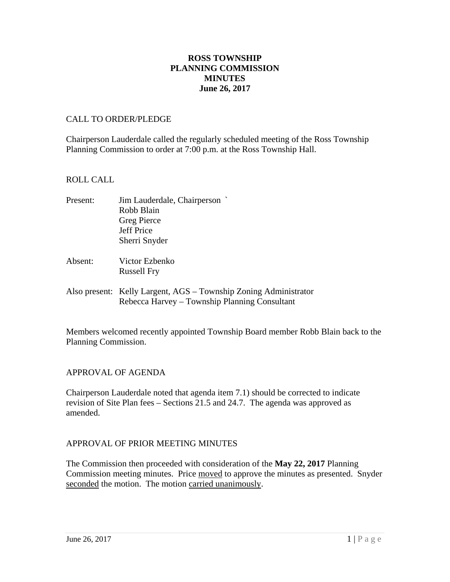### **ROSS TOWNSHIP PLANNING COMMISSION MINUTES June 26, 2017**

#### CALL TO ORDER/PLEDGE

Chairperson Lauderdale called the regularly scheduled meeting of the Ross Township Planning Commission to order at 7:00 p.m. at the Ross Township Hall.

#### ROLL CALL

| Present: | Jim Lauderdale, Chairperson                                      |
|----------|------------------------------------------------------------------|
|          | Robb Blain                                                       |
|          | <b>Greg Pierce</b>                                               |
|          | <b>Jeff Price</b>                                                |
|          | Sherri Snyder                                                    |
| Absent:  | Victor Ezbenko                                                   |
|          | <b>Russell Fry</b>                                               |
|          | Also present: Kelly Largent, AGS – Township Zoning Administrator |
|          | Rebecca Harvey – Township Planning Consultant                    |

Members welcomed recently appointed Township Board member Robb Blain back to the Planning Commission.

### APPROVAL OF AGENDA

Chairperson Lauderdale noted that agenda item 7.1) should be corrected to indicate revision of Site Plan fees – Sections 21.5 and 24.7. The agenda was approved as amended.

### APPROVAL OF PRIOR MEETING MINUTES

The Commission then proceeded with consideration of the **May 22, 2017** Planning Commission meeting minutes. Price moved to approve the minutes as presented. Snyder seconded the motion. The motion carried unanimously.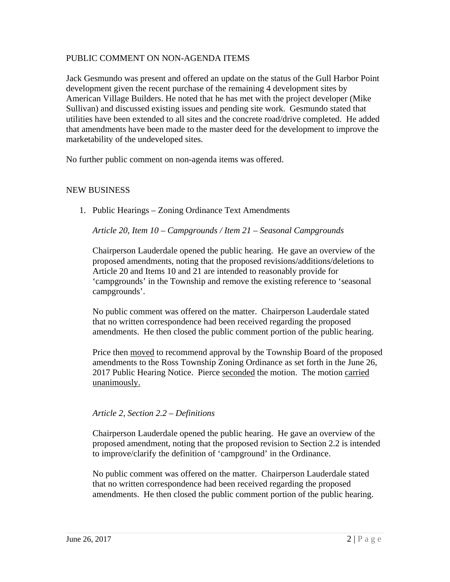### PUBLIC COMMENT ON NON-AGENDA ITEMS

Jack Gesmundo was present and offered an update on the status of the Gull Harbor Point development given the recent purchase of the remaining 4 development sites by American Village Builders. He noted that he has met with the project developer (Mike Sullivan) and discussed existing issues and pending site work. Gesmundo stated that utilities have been extended to all sites and the concrete road/drive completed. He added that amendments have been made to the master deed for the development to improve the marketability of the undeveloped sites.

No further public comment on non-agenda items was offered.

### NEW BUSINESS

1. Public Hearings – Zoning Ordinance Text Amendments

*Article 20, Item 10 – Campgrounds / Item 21 – Seasonal Campgrounds* 

Chairperson Lauderdale opened the public hearing. He gave an overview of the proposed amendments, noting that the proposed revisions/additions/deletions to Article 20 and Items 10 and 21 are intended to reasonably provide for 'campgrounds' in the Township and remove the existing reference to 'seasonal campgrounds'.

No public comment was offered on the matter. Chairperson Lauderdale stated that no written correspondence had been received regarding the proposed amendments. He then closed the public comment portion of the public hearing.

Price then moved to recommend approval by the Township Board of the proposed amendments to the Ross Township Zoning Ordinance as set forth in the June 26, 2017 Public Hearing Notice. Pierce seconded the motion. The motion carried unanimously.

#### *Article 2, Section 2.2 – Definitions*

Chairperson Lauderdale opened the public hearing. He gave an overview of the proposed amendment, noting that the proposed revision to Section 2.2 is intended to improve/clarify the definition of 'campground' in the Ordinance.

No public comment was offered on the matter. Chairperson Lauderdale stated that no written correspondence had been received regarding the proposed amendments. He then closed the public comment portion of the public hearing.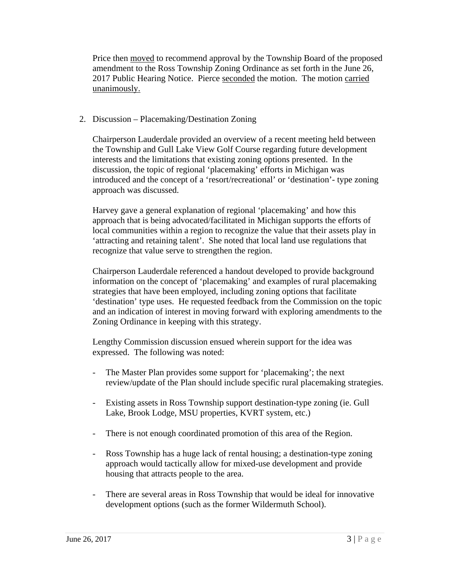Price then moved to recommend approval by the Township Board of the proposed amendment to the Ross Township Zoning Ordinance as set forth in the June 26, 2017 Public Hearing Notice. Pierce seconded the motion. The motion carried unanimously.

### 2. Discussion – Placemaking/Destination Zoning

Chairperson Lauderdale provided an overview of a recent meeting held between the Township and Gull Lake View Golf Course regarding future development interests and the limitations that existing zoning options presented. In the discussion, the topic of regional 'placemaking' efforts in Michigan was introduced and the concept of a 'resort/recreational' or 'destination'- type zoning approach was discussed.

Harvey gave a general explanation of regional 'placemaking' and how this approach that is being advocated/facilitated in Michigan supports the efforts of local communities within a region to recognize the value that their assets play in 'attracting and retaining talent'. She noted that local land use regulations that recognize that value serve to strengthen the region.

Chairperson Lauderdale referenced a handout developed to provide background information on the concept of 'placemaking' and examples of rural placemaking strategies that have been employed, including zoning options that facilitate 'destination' type uses. He requested feedback from the Commission on the topic and an indication of interest in moving forward with exploring amendments to the Zoning Ordinance in keeping with this strategy.

Lengthy Commission discussion ensued wherein support for the idea was expressed. The following was noted:

- The Master Plan provides some support for 'placemaking'; the next review/update of the Plan should include specific rural placemaking strategies.
- Existing assets in Ross Township support destination-type zoning (ie. Gull Lake, Brook Lodge, MSU properties, KVRT system, etc.)
- There is not enough coordinated promotion of this area of the Region.
- Ross Township has a huge lack of rental housing; a destination-type zoning approach would tactically allow for mixed-use development and provide housing that attracts people to the area.
- There are several areas in Ross Township that would be ideal for innovative development options (such as the former Wildermuth School).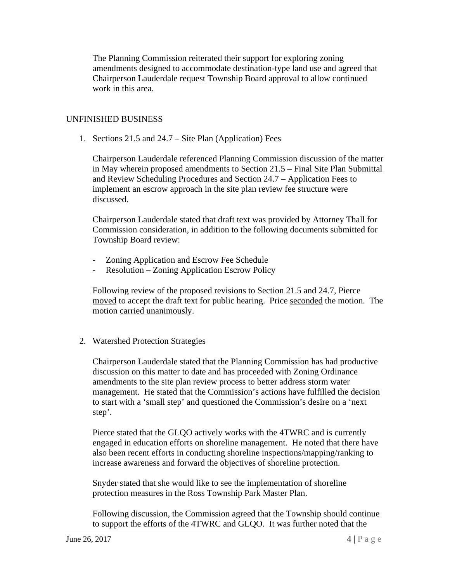The Planning Commission reiterated their support for exploring zoning amendments designed to accommodate destination-type land use and agreed that Chairperson Lauderdale request Township Board approval to allow continued work in this area.

### UNFINISHED BUSINESS

1. Sections 21.5 and 24.7 – Site Plan (Application) Fees

Chairperson Lauderdale referenced Planning Commission discussion of the matter in May wherein proposed amendments to Section 21.5 – Final Site Plan Submittal and Review Scheduling Procedures and Section 24.7 – Application Fees to implement an escrow approach in the site plan review fee structure were discussed.

Chairperson Lauderdale stated that draft text was provided by Attorney Thall for Commission consideration, in addition to the following documents submitted for Township Board review:

- Zoning Application and Escrow Fee Schedule
- Resolution Zoning Application Escrow Policy

Following review of the proposed revisions to Section 21.5 and 24.7, Pierce moved to accept the draft text for public hearing. Price seconded the motion. The motion carried unanimously.

# 2. Watershed Protection Strategies

Chairperson Lauderdale stated that the Planning Commission has had productive discussion on this matter to date and has proceeded with Zoning Ordinance amendments to the site plan review process to better address storm water management. He stated that the Commission's actions have fulfilled the decision to start with a 'small step' and questioned the Commission's desire on a 'next step'.

Pierce stated that the GLQO actively works with the 4TWRC and is currently engaged in education efforts on shoreline management. He noted that there have also been recent efforts in conducting shoreline inspections/mapping/ranking to increase awareness and forward the objectives of shoreline protection.

Snyder stated that she would like to see the implementation of shoreline protection measures in the Ross Township Park Master Plan.

Following discussion, the Commission agreed that the Township should continue to support the efforts of the 4TWRC and GLQO. It was further noted that the